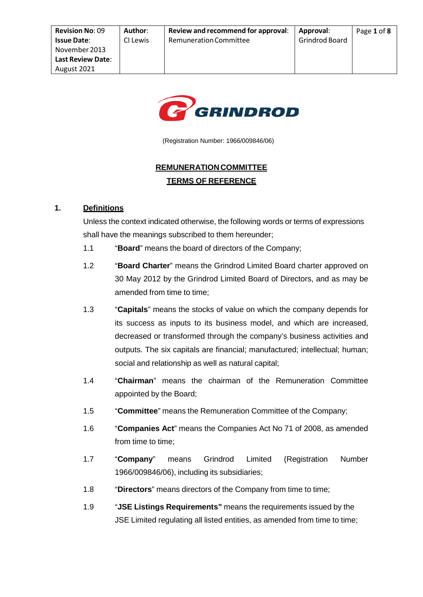

(Registration Number: 1966/009846/06)

# **REMUNERATIONCOMMITTEE TERMS OF REFERENCE**

## **1. Definitions**

Unless the context indicated otherwise, the following words or terms of expressions shall have the meanings subscribed to them hereunder;

- 1.1 "**Board**" means the board of directors of the Company;
- 1.2 "**Board Charter**" means the Grindrod Limited Board charter approved on 30 May 2012 by the Grindrod Limited Board of Directors, and as may be amended from time to time;
- 1.3 "**Capitals**" means the stocks of value on which the company depends for its success as inputs to its business model, and which are increased, decreased or transformed through the company's business activities and outputs. The six capitals are financial; manufactured; intellectual; human; social and relationship as well as natural capital;
- 1.4 "**Chairman**" means the chairman of the Remuneration Committee appointed by the Board;
- 1.5 "**Committee**" means the Remuneration Committee of the Company;
- 1.6 "**Companies Act**" means the Companies Act No 71 of 2008, as amended from time to time:
- 1.7 "**Company**" means Grindrod Limited (Registration Number 1966/009846/06), including its subsidiaries;
- 1.8 "**Directors**" means directors of the Company from time to time;
- 1.9 "**JSE Listings Requirements"** means the requirements issued by the JSE Limited regulating all listed entities, as amended from time to time;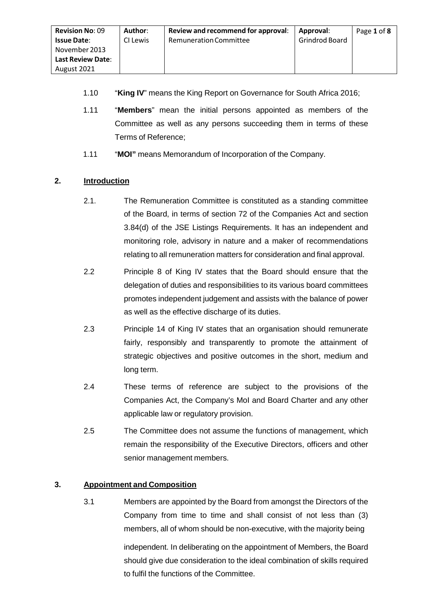- 1.10 "**King IV**" means the King Report on Governance for South Africa 2016;
- 1.11 "**Members**" mean the initial persons appointed as members of the Committee as well as any persons succeeding them in terms of these Terms of Reference;
- 1.11 "**MOI"** means Memorandum of Incorporation of the Company.

## **2. Introduction**

- 2.1. The Remuneration Committee is constituted as a standing committee of the Board, in terms of section 72 of the Companies Act and section 3.84(d) of the JSE Listings Requirements. It has an independent and monitoring role, advisory in nature and a maker of recommendations relating to all remuneration matters for consideration and final approval.
- 2.2 Principle 8 of King IV states that the Board should ensure that the delegation of duties and responsibilities to its various board committees promotes independent judgement and assists with the balance of power as well as the effective discharge of its duties.
- 2.3 Principle 14 of King IV states that an organisation should remunerate fairly, responsibly and transparently to promote the attainment of strategic objectives and positive outcomes in the short, medium and long term.
- 2.4 These terms of reference are subject to the provisions of the Companies Act, the Company's MoI and Board Charter and any other applicable law or regulatory provision.
- 2.5 The Committee does not assume the functions of management, which remain the responsibility of the Executive Directors, officers and other senior management members.

## **3. Appointment and Composition**

3.1 Members are appointed by the Board from amongst the Directors of the Company from time to time and shall consist of not less than (3) members, all of whom should be non-executive, with the majority being independent. In deliberating on the appointment of Members, the Board should give due consideration to the ideal combination of skills required

to fulfil the functions of the Committee.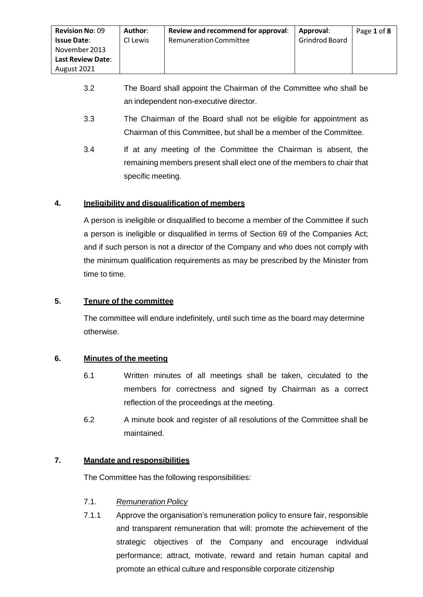- 3.2 The Board shall appoint the Chairman of the Committee who shall be an independent non-executive director.
- 3.3 The Chairman of the Board shall not be eligible for appointment as Chairman of this Committee, but shall be a member of the Committee.
- 3.4 If at any meeting of the Committee the Chairman is absent, the remaining members present shall elect one of the members to chair that specific meeting.

## **4. Ineligibility and disqualification of members**

A person is ineligible or disqualified to become a member of the Committee if such a person is ineligible or disqualified in terms of Section 69 of the Companies Act; and if such person is not a director of the Company and who does not comply with the minimum qualification requirements as may be prescribed by the Minister from time to time.

## **5. Tenure of the committee**

The committee will endure indefinitely, until such time as the board may determine otherwise.

## **6. Minutes of the meeting**

- 6.1 Written minutes of all meetings shall be taken, circulated to the members for correctness and signed by Chairman as a correct reflection of the proceedings at the meeting.
- 6.2 A minute book and register of all resolutions of the Committee shall be maintained.

## **7. Mandate and responsibilities**

The Committee has the following responsibilities:

## 7.1. *Remuneration Policy*

7.1.1 Approve the organisation's remuneration policy to ensure fair, responsible and transparent remuneration that will: promote the achievement of the strategic objectives of the Company and encourage individual performance; attract, motivate, reward and retain human capital and promote an ethical culture and responsible corporate citizenship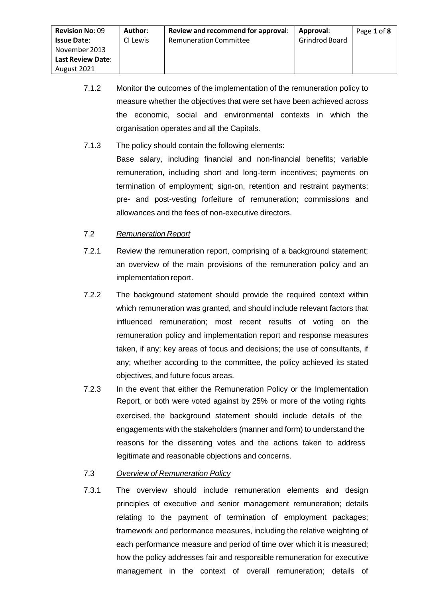- 7.1.2 Monitor the outcomes of the implementation of the remuneration policy to measure whether the objectives that were set have been achieved across the economic, social and environmental contexts in which the organisation operates and all the Capitals.
- 7.1.3 The policy should contain the following elements:

Base salary, including financial and non-financial benefits; variable remuneration, including short and long-term incentives; payments on termination of employment; sign-on, retention and restraint payments; pre- and post-vesting forfeiture of remuneration; commissions and allowances and the fees of non-executive directors.

- 7.2 *Remuneration Report*
- 7.2.1 Review the remuneration report, comprising of a background statement; an overview of the main provisions of the remuneration policy and an implementation report.
- 7.2.2 The background statement should provide the required context within which remuneration was granted, and should include relevant factors that influenced remuneration; most recent results of voting on the remuneration policy and implementation report and response measures taken, if any; key areas of focus and decisions; the use of consultants, if any; whether according to the committee, the policy achieved its stated objectives, and future focus areas.
- 7.2.3 In the event that either the Remuneration Policy or the Implementation Report, or both were voted against by 25% or more of the voting rights exercised, the background statement should include details of the engagements with the stakeholders (manner and form) to understand the reasons for the dissenting votes and the actions taken to address legitimate and reasonable objections and concerns.

#### 7.3 *Overview of Remuneration Policy*

7.3.1 The overview should include remuneration elements and design principles of executive and senior management remuneration; details relating to the payment of termination of employment packages; framework and performance measures, including the relative weighting of each performance measure and period of time over which it is measured; how the policy addresses fair and responsible remuneration for executive management in the context of overall remuneration; details of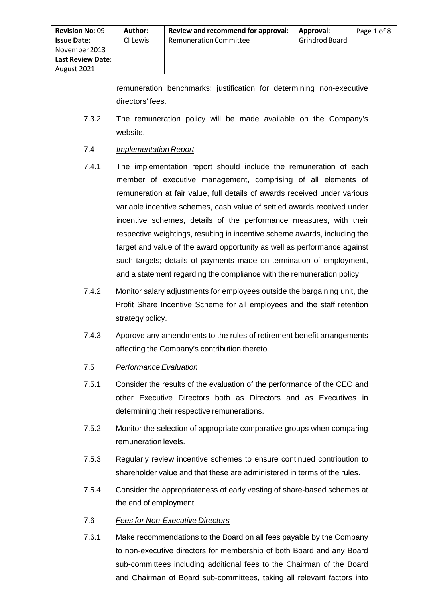remuneration benchmarks; justification for determining non-executive directors' fees.

7.3.2 The remuneration policy will be made available on the Company's website.

#### 7.4 *Implementation Report*

- 7.4.1 The implementation report should include the remuneration of each member of executive management, comprising of all elements of remuneration at fair value, full details of awards received under various variable incentive schemes, cash value of settled awards received under incentive schemes, details of the performance measures, with their respective weightings, resulting in incentive scheme awards, including the target and value of the award opportunity as well as performance against such targets; details of payments made on termination of employment, and a statement regarding the compliance with the remuneration policy.
- 7.4.2 Monitor salary adjustments for employees outside the bargaining unit, the Profit Share Incentive Scheme for all employees and the staff retention strategy policy.
- 7.4.3 Approve any amendments to the rules of retirement benefit arrangements affecting the Company's contribution thereto.
- 7.5 *Performance Evaluation*
- 7.5.1 Consider the results of the evaluation of the performance of the CEO and other Executive Directors both as Directors and as Executives in determining their respective remunerations.
- 7.5.2 Monitor the selection of appropriate comparative groups when comparing remuneration levels.
- 7.5.3 Regularly review incentive schemes to ensure continued contribution to shareholder value and that these are administered in terms of the rules.
- 7.5.4 Consider the appropriateness of early vesting of share-based schemes at the end of employment.

## 7.6 *Fees for Non-Executive Directors*

7.6.1 Make recommendations to the Board on all fees payable by the Company to non-executive directors for membership of both Board and any Board sub-committees including additional fees to the Chairman of the Board and Chairman of Board sub-committees, taking all relevant factors into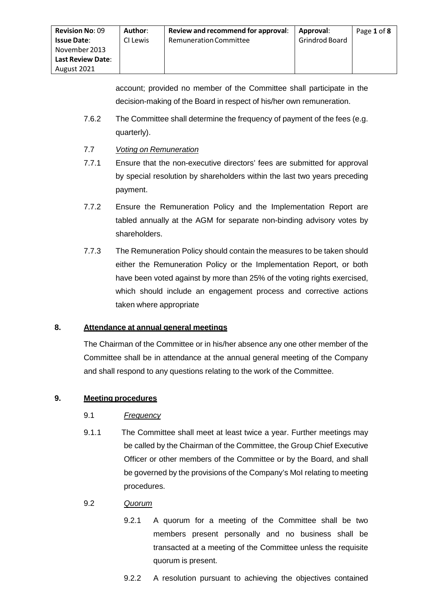account; provided no member of the Committee shall participate in the decision-making of the Board in respect of his/her own remuneration.

- 7.6.2 The Committee shall determine the frequency of payment of the fees (e.g. quarterly).
- 7.7 *Voting on Remuneration*
- 7.7.1 Ensure that the non-executive directors' fees are submitted for approval by special resolution by shareholders within the last two years preceding payment.
- 7.7.2 Ensure the Remuneration Policy and the Implementation Report are tabled annually at the AGM for separate non-binding advisory votes by shareholders.
- 7.7.3 The Remuneration Policy should contain the measures to be taken should either the Remuneration Policy or the Implementation Report, or both have been voted against by more than 25% of the voting rights exercised, which should include an engagement process and corrective actions taken where appropriate

## **8. Attendance at annual general meetings**

The Chairman of the Committee or in his/her absence any one other member of the Committee shall be in attendance at the annual general meeting of the Company and shall respond to any questions relating to the work of the Committee.

## **9. Meeting procedures**

## 9.1 *Frequency*

9.1.1 The Committee shall meet at least twice a year. Further meetings may be called by the Chairman of the Committee, the Group Chief Executive Officer or other members of the Committee or by the Board, and shall be governed by the provisions of the Company's MoI relating to meeting procedures.

## 9.2 *Quorum*

- 9.2.1 A quorum for a meeting of the Committee shall be two members present personally and no business shall be transacted at a meeting of the Committee unless the requisite quorum is present.
- 9.2.2 A resolution pursuant to achieving the objectives contained